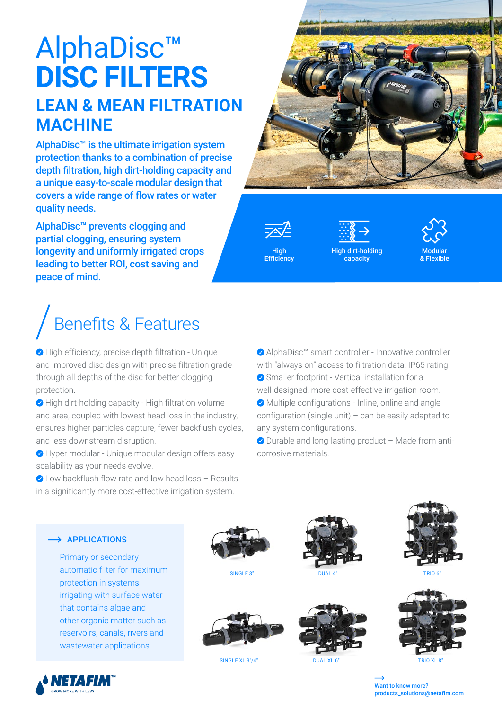### AlphaDisc™ **DISC FILTERS LEAN & MEAN FILTRATION**

# **MACHINE**

AlphaDisc™ is the ultimate irrigation system protection thanks to a combination of precise depth filtration, high dirt-holding capacity and a unique easy-to-scale modular design that covers a wide range of flow rates or water quality needs.

AlphaDisc™ prevents clogging and partial clogging, ensuring system longevity and uniformly irrigated crops leading to better ROI, cost saving and peace of mind.

## Benefits & Features

◆ High efficiency, precise depth filtration - Unique and improved disc design with precise filtration grade through all depths of the disc for better clogging protection.

◆ High dirt-holding capacity - High filtration volume and area, coupled with lowest head loss in the industry, ensures higher particles capture, fewer backflush cycles, and less downstream disruption.

Hyper modular - Unique modular design offers easy scalability as your needs evolve.

◆ Low backflush flow rate and low head loss – Results in a significantly more cost-effective irrigation system.



High

**Efficiency** 

High dirt-holding capacity



◆ AlphaDisc™ smart controller - Innovative controller with "always on" access to filtration data; IP65 rating. ◆ Smaller footprint - Vertical installation for a

well-designed, more cost-effective irrigation room. Multiple configurations - Inline, online and angle

configuration (single unit) – can be easily adapted to any system configurations.

◆ Durable and long-lasting product – Made from anticorrosive materials.



Primary or secondary automatic filter for maximum protection in systems irrigating with surface water that contains algae and other organic matter such as reservoirs, canals, rivers and wastewater applications.









SINGLE XL 3"/4" DUAL XL 6





 Want to know more? products\_solutions@netafim.com